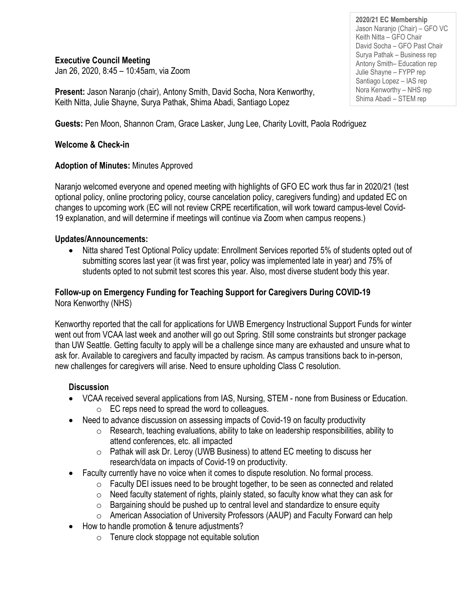**Executive Council Meeting** Jan 26, 2020, 8:45 – 10:45am, via Zoom

**Present:** Jason Naranjo (chair), Antony Smith, David Socha, Nora Kenworthy, Keith Nitta, Julie Shayne, Surya Pathak, Shima Abadi, Santiago Lopez

**Guests:** Pen Moon, Shannon Cram, Grace Lasker, Jung Lee, Charity Lovitt, Paola Rodriguez

# **Welcome & Check-in**

### **Adoption of Minutes:** Minutes Approved

Naranjo welcomed everyone and opened meeting with highlights of GFO EC work thus far in 2020/21 (test optional policy, online proctoring policy, course cancelation policy, caregivers funding) and updated EC on changes to upcoming work (EC will not review CRPE recertification, will work toward campus-level Covid-19 explanation, and will determine if meetings will continue via Zoom when campus reopens.)

### **Updates/Announcements:**

• Nitta shared Test Optional Policy update: Enrollment Services reported 5% of students opted out of submitting scores last year (it was first year, policy was implemented late in year) and 75% of students opted to not submit test scores this year. Also, most diverse student body this year.

# **Follow-up on Emergency Funding for Teaching Support for Caregivers During COVID-19** Nora Kenworthy (NHS)

Kenworthy reported that the call for applications for UWB Emergency Instructional Support Funds for winter went out from VCAA last week and another will go out Spring. Still some constraints but stronger package than UW Seattle. Getting faculty to apply will be a challenge since many are exhausted and unsure what to ask for. Available to caregivers and faculty impacted by racism. As campus transitions back to in-person, new challenges for caregivers will arise. Need to ensure upholding Class C resolution.

### **Discussion**

- VCAA received several applications from IAS, Nursing, STEM none from Business or Education.
	- $\circ$  EC reps need to spread the word to colleagues.
- Need to advance discussion on assessing impacts of Covid-19 on faculty productivity
	- $\circ$  Research, teaching evaluations, ability to take on leadership responsibilities, ability to attend conferences, etc. all impacted
	- o Pathak will ask Dr. Leroy (UWB Business) to attend EC meeting to discuss her research/data on impacts of Covid-19 on productivity.
- Faculty currently have no voice when it comes to dispute resolution. No formal process.
	- $\circ$  Faculty DEI issues need to be brought together, to be seen as connected and related
	- $\circ$  Need faculty statement of rights, plainly stated, so faculty know what they can ask for
	- $\circ$  Bargaining should be pushed up to central level and standardize to ensure equity
	- $\circ$  American Association of University Professors (AAUP) and Faculty Forward can help
- How to handle promotion & tenure adjustments?
	- o Tenure clock stoppage not equitable solution

**2020/21 EC Membership** Jason Naranjo (Chair) – GFO VC Keith Nitta – GFO Chair David Socha – GFO Past Chair Surya Pathak – Business rep Antony Smith– Education rep Julie Shayne – FYPP rep Santiago Lopez – IAS rep Nora Kenworthy – NHS rep Shima Abadi – STEM rep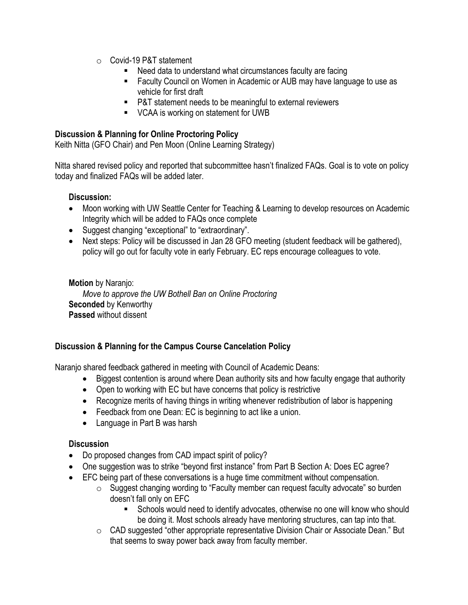- o Covid-19 P&T statement
	- Need data to understand what circumstances faculty are facing
	- Faculty Council on Women in Academic or AUB may have language to use as vehicle for first draft
	- P&T statement needs to be meaningful to external reviewers
	- VCAA is working on statement for UWB

# **Discussion & Planning for Online Proctoring Policy**

Keith Nitta (GFO Chair) and Pen Moon (Online Learning Strategy)

Nitta shared revised policy and reported that subcommittee hasn't finalized FAQs. Goal is to vote on policy today and finalized FAQs will be added later.

### **Discussion:**

- Moon working with UW Seattle Center for Teaching & Learning to develop resources on Academic Integrity which will be added to FAQs once complete
- Suggest changing "exceptional" to "extraordinary".
- Next steps: Policy will be discussed in Jan 28 GFO meeting (student feedback will be gathered), policy will go out for faculty vote in early February. EC reps encourage colleagues to vote.

**Motion** by Naranjo: *Move to approve the UW Bothell Ban on Online Proctoring* **Seconded** by Kenworthy **Passed** without dissent

### **Discussion & Planning for the Campus Course Cancelation Policy**

Naranjo shared feedback gathered in meeting with Council of Academic Deans:

- Biggest contention is around where Dean authority sits and how faculty engage that authority
- Open to working with EC but have concerns that policy is restrictive
- Recognize merits of having things in writing whenever redistribution of labor is happening
- Feedback from one Dean: EC is beginning to act like a union.
- Language in Part B was harsh

### **Discussion**

- Do proposed changes from CAD impact spirit of policy?
- One suggestion was to strike "beyond first instance" from Part B Section A: Does EC agree?
- EFC being part of these conversations is a huge time commitment without compensation.
	- o Suggest changing wording to "Faculty member can request faculty advocate" so burden doesn't fall only on EFC
		- Schools would need to identify advocates, otherwise no one will know who should be doing it. Most schools already have mentoring structures, can tap into that.
	- $\circ$  CAD suggested "other appropriate representative Division Chair or Associate Dean." But that seems to sway power back away from faculty member.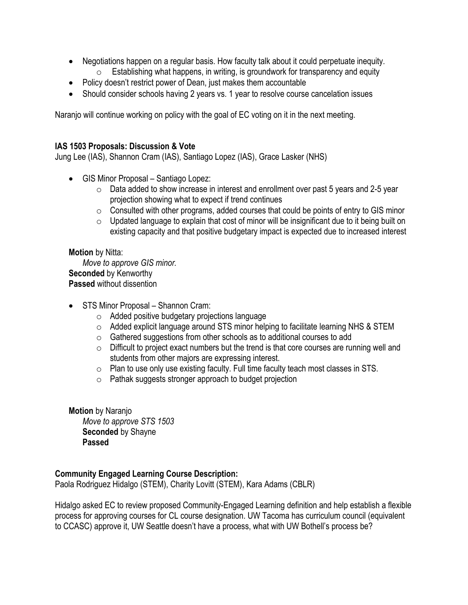- Negotiations happen on a regular basis. How faculty talk about it could perpetuate inequity.  $\circ$  Establishing what happens, in writing, is groundwork for transparency and equity
- Policy doesn't restrict power of Dean, just makes them accountable
- Should consider schools having 2 years vs. 1 year to resolve course cancelation issues

Naranjo will continue working on policy with the goal of EC voting on it in the next meeting.

#### **IAS 1503 Proposals: Discussion & Vote**

Jung Lee (IAS), Shannon Cram (IAS), Santiago Lopez (IAS), Grace Lasker (NHS)

- GIS Minor Proposal Santiago Lopez:
	- $\circ$  Data added to show increase in interest and enrollment over past 5 years and 2-5 year projection showing what to expect if trend continues
	- o Consulted with other programs, added courses that could be points of entry to GIS minor
	- $\circ$  Updated language to explain that cost of minor will be insignificant due to it being built on existing capacity and that positive budgetary impact is expected due to increased interest

#### **Motion** by Nitta:

*Move to approve GIS minor.* **Seconded** by Kenworthy **Passed** without dissention

- STS Minor Proposal Shannon Cram:
	- o Added positive budgetary projections language
	- o Added explicit language around STS minor helping to facilitate learning NHS & STEM
	- o Gathered suggestions from other schools as to additional courses to add
	- $\circ$  Difficult to project exact numbers but the trend is that core courses are running well and students from other majors are expressing interest.
	- o Plan to use only use existing faculty. Full time faculty teach most classes in STS.
	- o Pathak suggests stronger approach to budget projection

**Motion** by Naranjo *Move to approve STS 1503* **Seconded** by Shayne **Passed** 

### **Community Engaged Learning Course Description:**

Paola Rodriguez Hidalgo (STEM), Charity Lovitt (STEM), Kara Adams (CBLR)

Hidalgo asked EC to review proposed Community-Engaged Learning definition and help establish a flexible process for approving courses for CL course designation. UW Tacoma has curriculum council (equivalent to CCASC) approve it, UW Seattle doesn't have a process, what with UW Bothell's process be?